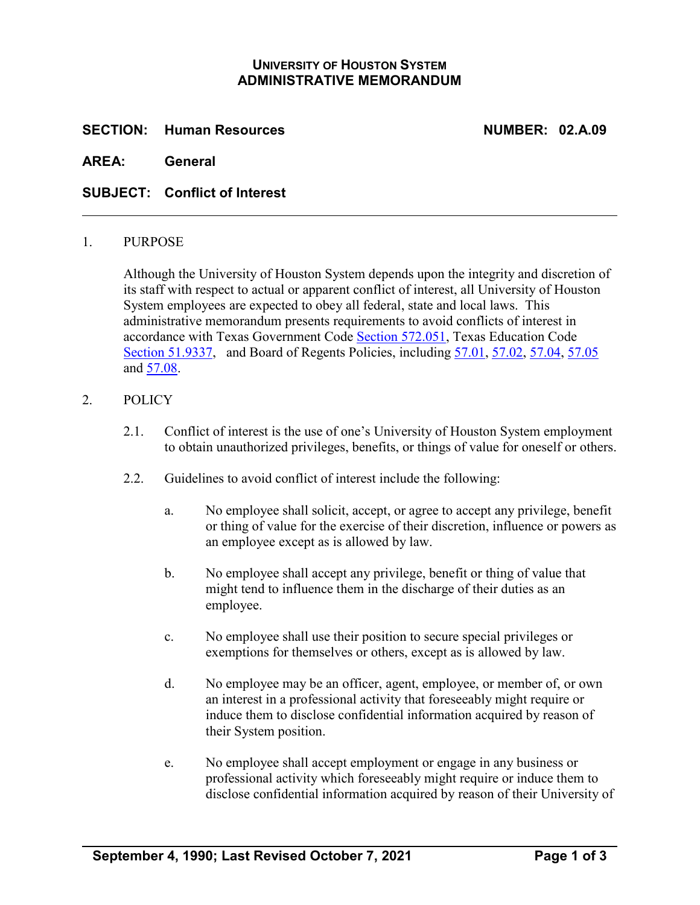# **UNIVERSITY OF HOUSTON SYSTEM ADMINISTRATIVE MEMORANDUM**

### **SECTION: Human Resources NUMBER: 02.A.09**

**AREA: General**

### **SUBJECT: Conflict of Interest**

#### 1. PURPOSE

Although the University of Houston System depends upon the integrity and discretion of its staff with respect to actual or apparent conflict of interest, all University of Houston System employees are expected to obey all federal, state and local laws. This administrative memorandum presents requirements to avoid conflicts of interest in accordance with Texas Government Code [Section 572.051,](https://statutes.capitol.texas.gov/Docs/GV/htm/GV.572.htm#572.051) Texas Education Code [Section 51.9337,](https://statutes.capitol.texas.gov/docs/ED/htm/ED.51.htm#51.9337) and Board of Regents Policies, including [57.01,](http://www.uhsystem.edu/board-of-regents/policies/index.php#SectionVI) [57.02, 57.04, 57.05](http://www.uhsystem.edu/board-of-regents/policies/index.php#SectionVI) and [57.08.](http://www.uhsystem.edu/board-of-regents/policies/index.php#SectionVI)

#### 2. POLICY

- 2.1. Conflict of interest is the use of one's University of Houston System employment to obtain unauthorized privileges, benefits, or things of value for oneself or others.
- 2.2. Guidelines to avoid conflict of interest include the following:
	- a. No employee shall solicit, accept, or agree to accept any privilege, benefit or thing of value for the exercise of their discretion, influence or powers as an employee except as is allowed by law.
	- b. No employee shall accept any privilege, benefit or thing of value that might tend to influence them in the discharge of their duties as an employee.
	- c. No employee shall use their position to secure special privileges or exemptions for themselves or others, except as is allowed by law.
	- d. No employee may be an officer, agent, employee, or member of, or own an interest in a professional activity that foreseeably might require or induce them to disclose confidential information acquired by reason of their System position.
	- e. No employee shall accept employment or engage in any business or professional activity which foreseeably might require or induce them to disclose confidential information acquired by reason of their University of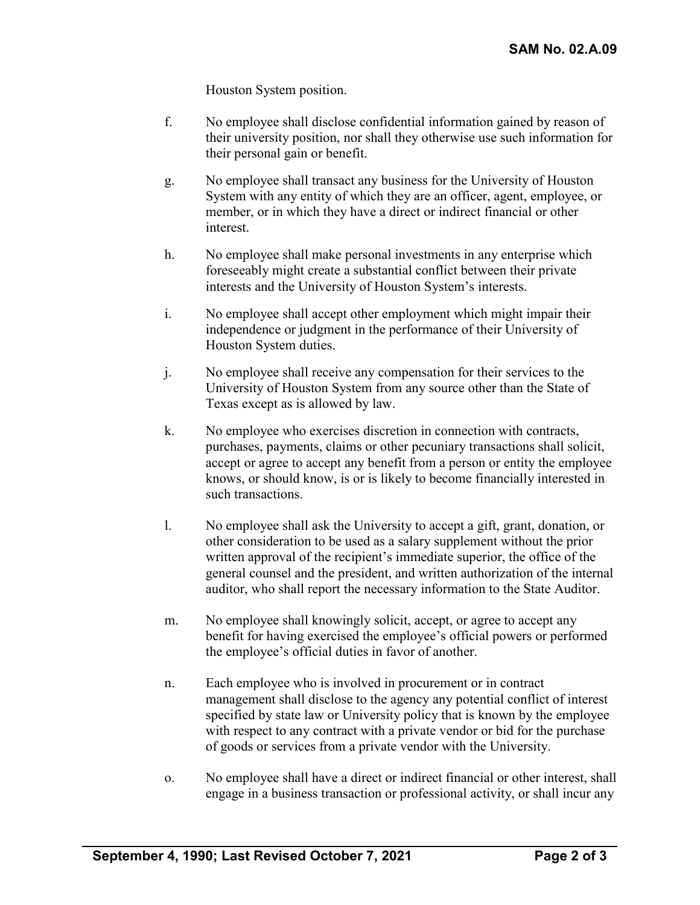Houston System position.

- f. No employee shall disclose confidential information gained by reason of their university position, nor shall they otherwise use such information for their personal gain or benefit.
- g. No employee shall transact any business for the University of Houston System with any entity of which they are an officer, agent, employee, or member, or in which they have a direct or indirect financial or other interest.
- h. No employee shall make personal investments in any enterprise which foreseeably might create a substantial conflict between their private interests and the University of Houston System's interests.
- i. No employee shall accept other employment which might impair their independence or judgment in the performance of their University of Houston System duties.
- j. No employee shall receive any compensation for their services to the University of Houston System from any source other than the State of Texas except as is allowed by law.
- k. No employee who exercises discretion in connection with contracts, purchases, payments, claims or other pecuniary transactions shall solicit, accept or agree to accept any benefit from a person or entity the employee knows, or should know, is or is likely to become financially interested in such transactions.
- l. No employee shall ask the University to accept a gift, grant, donation, or other consideration to be used as a salary supplement without the prior written approval of the recipient's immediate superior, the office of the general counsel and the president, and written authorization of the internal auditor, who shall report the necessary information to the State Auditor.
- m. No employee shall knowingly solicit, accept, or agree to accept any benefit for having exercised the employee's official powers or performed the employee's official duties in favor of another.
- n. Each employee who is involved in procurement or in contract management shall disclose to the agency any potential conflict of interest specified by state law or University policy that is known by the employee with respect to any contract with a private vendor or bid for the purchase of goods or services from a private vendor with the University.
- o. No employee shall have a direct or indirect financial or other interest, shall engage in a business transaction or professional activity, or shall incur any